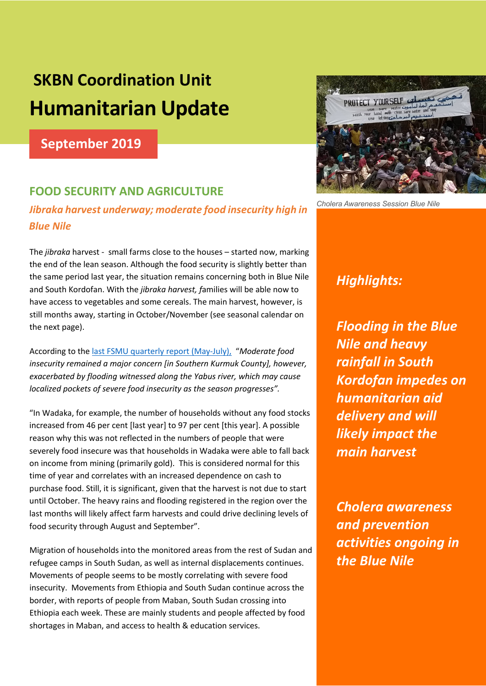# **SKBN Coordination Unit Humanitarian Update**

**September 2019**

# **FOOD SECURITY AND AGRICULTURE**

### *Jibraka harvest underway; moderate food insecurity high in Blue Nile*

The *jibraka* harvest - small farms close to the houses – started now, marking the end of the lean season. Although the food security is slightly better than the same period last year, the situation remains concerning both in Blue Nile and South Kordofan. With the *jibraka harvest, f*amilies will be able now to have access to vegetables and some cereals. The main harvest, however, is still months away, starting in October/November (see seasonal calendar on the next page).

According to the last FSMU quarterly report (May-July), "*Moderate food insecurity remained a major concern [in Southern Kurmuk County], however, exacerbated by flooding witnessed along the Yabus river, which may cause localized pockets of severe food insecurity as the season progresses".* 

"In Wadaka, for example, the number of households without any food stocks increased from 46 per cent [last year] to 97 per cent [this year]. A possible reason why this was not reflected in the numbers of people that were severely food insecure was that households in Wadaka were able to fall back on income from mining (primarily gold). This is considered normal for this time of year and correlates with an increased dependence on cash to purchase food. Still, it is significant, given that the harvest is not due to start until October. The heavy rains and flooding registered in the region over the last months will likely affect farm harvests and could drive declining levels of food security through August and September".

Migration of households into the monitored areas from the rest of Sudan and refugee camps in South Sudan, as well as internal displacements continues. Movements of people seems to be mostly correlating with severe food insecurity. Movements from Ethiopia and South Sudan continue across the border, with reports of people from Maban, South Sudan crossing into Ethiopia each week. These are mainly students and people affected by food shortages in Maban, and access to health & education services.



*Cholera Awareness Session Blue Nile* 

# *Highlights:*

*Flooding in the Blue Nile and heavy rainfall in South Kordofan impedes on humanitarian aid delivery and will likely impact the main harvest*

*Cholera awareness and prevention activities ongoing in the Blue Nile*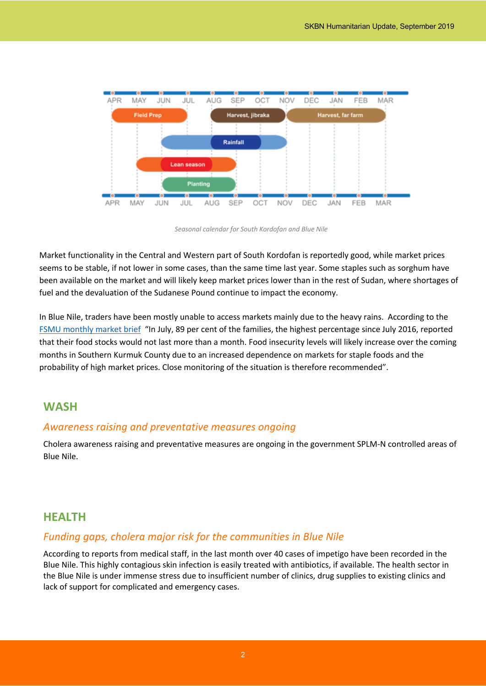

*Seasonal calendar for South Kordofan and Blue Nile*

Market functionality in the Central and Western part of South Kordofan is reportedly good, while market prices seems to be stable, if not lower in some cases, than the same time last year. Some staples such as sorghum have been available on the market and will likely keep market prices lower than in the rest of Sudan, where shortages of fuel and the devaluation of the Sudanese Pound continue to impact the economy.

In Blue Nile, traders have been mostly unable to access markets mainly due to the heavy rains. According to the FSMU monthly market brief "In July, 89 per cent of the families, the highest percentage since July 2016, reported that their food stocks would not last more than a month. Food insecurity levels will likely increase over the coming months in Southern Kurmuk County due to an increased dependence on markets for staple foods and the probability of high market prices. Close monitoring of the situation is therefore recommended".

#### **WASH**

#### *Awareness raising and preventative measures ongoing*

Cholera awareness raising and preventative measures are ongoing in the government SPLM-N controlled areas of Blue Nile.

#### **HEALTH**

#### *Funding gaps, cholera major risk for the communities in Blue Nile*

According to reports from medical staff, in the last month over 40 cases of impetigo have been recorded in the Blue Nile. This highly contagious skin infection is easily treated with antibiotics, if available. The health sector in the Blue Nile is under immense stress due to insufficient number of clinics, drug supplies to existing clinics and lack of support for complicated and emergency cases.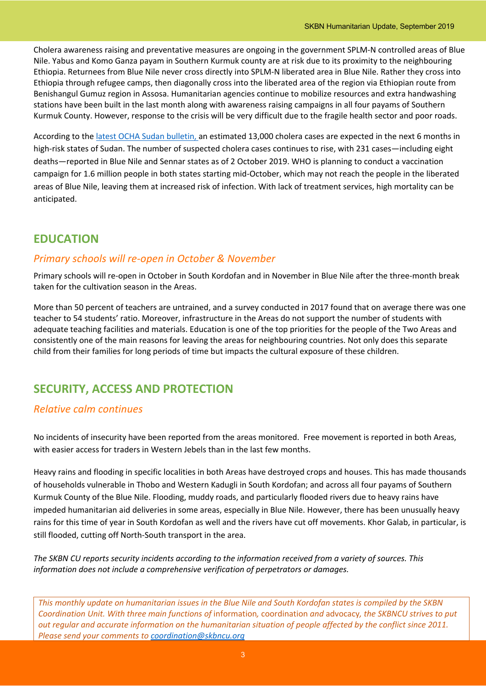Cholera awareness raising and preventative measures are ongoing in the government SPLM-N controlled areas of Blue Nile. Yabus and Komo Ganza payam in Southern Kurmuk county are at risk due to its proximity to the neighbouring Ethiopia. Returnees from Blue Nile never cross directly into SPLM-N liberated area in Blue Nile. Rather they cross into Ethiopia through refugee camps, then diagonally cross into the liberated area of the region via Ethiopian route from Benishangul Gumuz region in Assosa. Humanitarian agencies continue to mobilize resources and extra handwashing stations have been built in the last month along with awareness raising campaigns in all four payams of Southern Kurmuk County. However, response to the crisis will be very difficult due to the fragile health sector and poor roads.

According to the latest OCHA Sudan bulletin, an estimated 13,000 cholera cases are expected in the next 6 months in high-risk states of Sudan. The number of suspected cholera cases continues to rise, with 231 cases—including eight deaths—reported in Blue Nile and Sennar states as of 2 October 2019. WHO is planning to conduct a vaccination campaign for 1.6 million people in both states starting mid-October, which may not reach the people in the liberated areas of Blue Nile, leaving them at increased risk of infection. With lack of treatment services, high mortality can be anticipated.

## **EDUCATION**

#### *Primary schools will re-open in October & November*

Primary schools will re-open in October in South Kordofan and in November in Blue Nile after the three-month break taken for the cultivation season in the Areas.

More than 50 percent of teachers are untrained, and a survey conducted in 2017 found that on average there was one teacher to 54 students' ratio. Moreover, infrastructure in the Areas do not support the number of students with adequate teaching facilities and materials. Education is one of the top priorities for the people of the Two Areas and consistently one of the main reasons for leaving the areas for neighbouring countries. Not only does this separate child from their families for long periods of time but impacts the cultural exposure of these children.

## **SECURITY, ACCESS AND PROTECTION**

#### *Relative calm continues*

No incidents of insecurity have been reported from the areas monitored. Free movement is reported in both Areas, with easier access for traders in Western Jebels than in the last few months.

Heavy rains and flooding in specific localities in both Areas have destroyed crops and houses. This has made thousands of households vulnerable in Thobo and Western Kadugli in South Kordofan; and across all four payams of Southern Kurmuk County of the Blue Nile. Flooding, muddy roads, and particularly flooded rivers due to heavy rains have impeded humanitarian aid deliveries in some areas, especially in Blue Nile. However, there has been unusually heavy rains for this time of year in South Kordofan as well and the rivers have cut off movements. Khor Galab, in particular, is still flooded, cutting off North-South transport in the area.

*The SKBN CU reports security incidents according to the information received from a variety of sources. This information does not include a comprehensive verification of perpetrators or damages.*

*This monthly update on humanitarian issues in the Blue Nile and South Kordofan states is compiled by the SKBN Coordination Unit. With three main functions of* information*,* coordination *and* advocacy*, the SKBNCU strives to put out regular and accurate information on the humanitarian situation of people affected by the conflict since 2011. Please send your comments to coordination@skbncu.org*